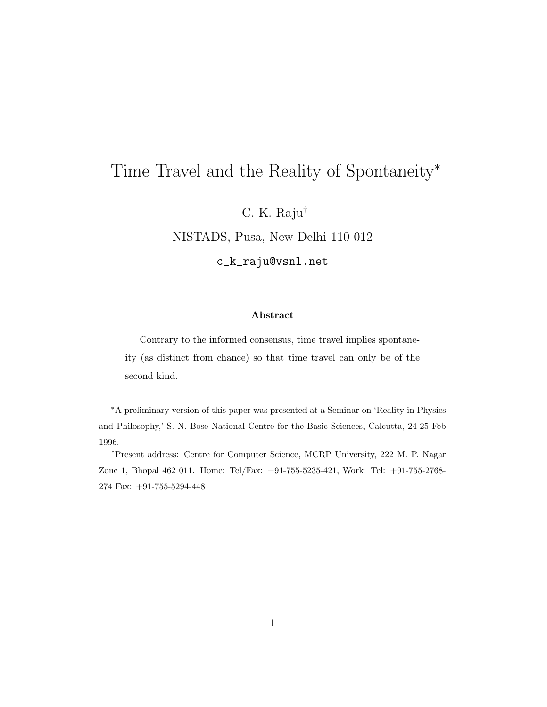# Time Travel and the Reality of Spontaneity<sup>∗</sup>

C. K. Raju†

NISTADS, Pusa, New Delhi 110 012

c\_k\_raju@vsnl.net

#### Abstract

Contrary to the informed consensus, time travel implies spontaneity (as distinct from chance) so that time travel can only be of the second kind.

<sup>∗</sup>A preliminary version of this paper was presented at a Seminar on 'Reality in Physics and Philosophy,' S. N. Bose National Centre for the Basic Sciences, Calcutta, 24-25 Feb 1996.

<sup>†</sup>Present address: Centre for Computer Science, MCRP University, 222 M. P. Nagar Zone 1, Bhopal 462 011. Home: Tel/Fax: +91-755-5235-421, Work: Tel: +91-755-2768- 274 Fax: +91-755-5294-448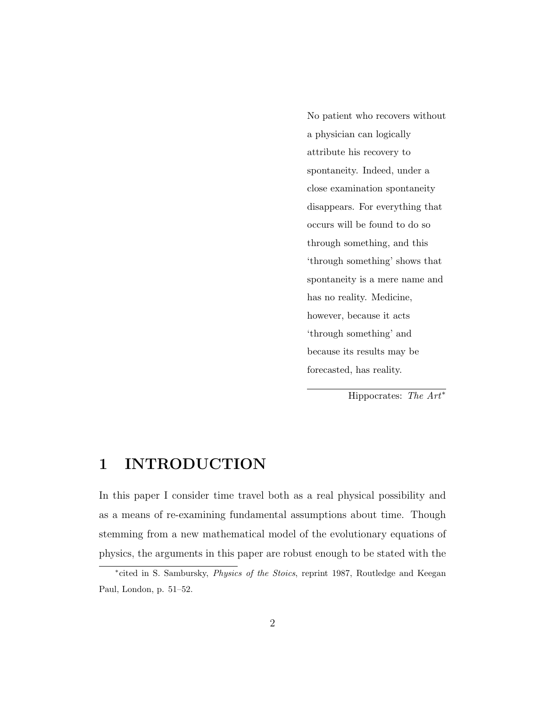No patient who recovers without a physician can logically attribute his recovery to spontaneity. Indeed, under a close examination spontaneity disappears. For everything that occurs will be found to do so through something, and this 'through something' shows that spontaneity is a mere name and has no reality. Medicine, however, because it acts 'through something' and because its results may be forecasted, has reality.

Hippocrates: The  $Art^*$ 

## 1 INTRODUCTION

In this paper I consider time travel both as a real physical possibility and as a means of re-examining fundamental assumptions about time. Though stemming from a new mathematical model of the evolutionary equations of physics, the arguments in this paper are robust enough to be stated with the

<sup>\*</sup>cited in S. Sambursky, *Physics of the Stoics*, reprint 1987, Routledge and Keegan Paul, London, p. 51–52.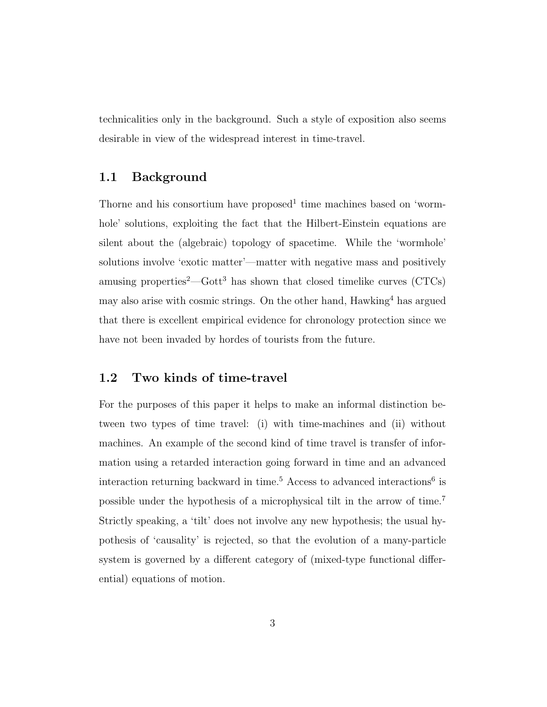technicalities only in the background. Such a style of exposition also seems desirable in view of the widespread interest in time-travel.

#### 1.1 Background

Thorne and his consortium have proposed<sup>1</sup> time machines based on 'wormhole' solutions, exploiting the fact that the Hilbert-Einstein equations are silent about the (algebraic) topology of spacetime. While the 'wormhole' solutions involve 'exotic matter'—matter with negative mass and positively amusing properties<sup>2</sup>—Gott<sup>3</sup> has shown that closed timelike curves  $(CTCs)$ may also arise with cosmic strings. On the other hand,  $Hawking<sup>4</sup>$  has argued that there is excellent empirical evidence for chronology protection since we have not been invaded by hordes of tourists from the future.

#### 1.2 Two kinds of time-travel

For the purposes of this paper it helps to make an informal distinction between two types of time travel: (i) with time-machines and (ii) without machines. An example of the second kind of time travel is transfer of information using a retarded interaction going forward in time and an advanced interaction returning backward in time.<sup>5</sup> Access to advanced interactions<sup>6</sup> is possible under the hypothesis of a microphysical tilt in the arrow of time.<sup>7</sup> Strictly speaking, a 'tilt' does not involve any new hypothesis; the usual hypothesis of 'causality' is rejected, so that the evolution of a many-particle system is governed by a different category of (mixed-type functional differential) equations of motion.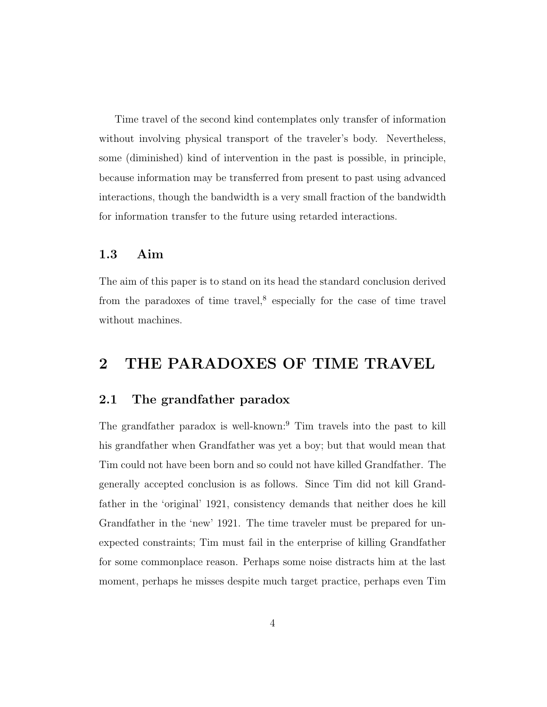Time travel of the second kind contemplates only transfer of information without involving physical transport of the traveler's body. Nevertheless, some (diminished) kind of intervention in the past is possible, in principle, because information may be transferred from present to past using advanced interactions, though the bandwidth is a very small fraction of the bandwidth for information transfer to the future using retarded interactions.

#### 1.3 Aim

The aim of this paper is to stand on its head the standard conclusion derived from the paradoxes of time travel, $^8$  especially for the case of time travel without machines.

## 2 THE PARADOXES OF TIME TRAVEL

#### 2.1 The grandfather paradox

The grandfather paradox is well-known:<sup>9</sup> Tim travels into the past to kill his grandfather when Grandfather was yet a boy; but that would mean that Tim could not have been born and so could not have killed Grandfather. The generally accepted conclusion is as follows. Since Tim did not kill Grandfather in the 'original' 1921, consistency demands that neither does he kill Grandfather in the 'new' 1921. The time traveler must be prepared for unexpected constraints; Tim must fail in the enterprise of killing Grandfather for some commonplace reason. Perhaps some noise distracts him at the last moment, perhaps he misses despite much target practice, perhaps even Tim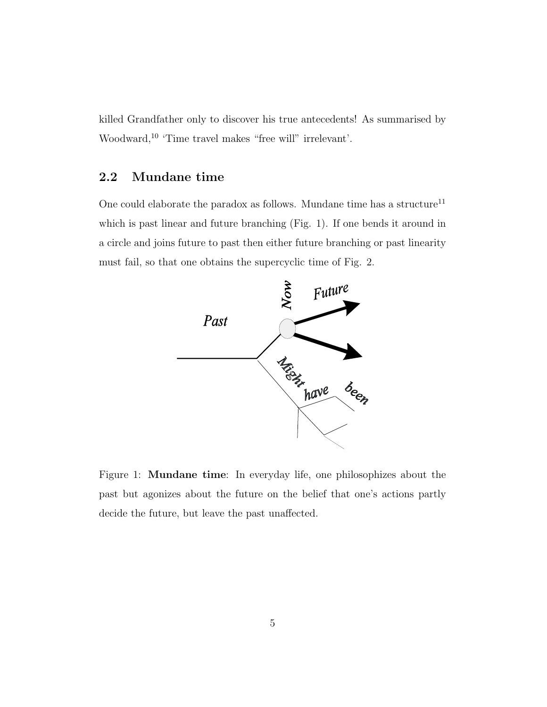killed Grandfather only to discover his true antecedents! As summarised by Woodward,<sup>10</sup> 'Time travel makes "free will" irrelevant'.

### 2.2 Mundane time

One could elaborate the paradox as follows. Mundane time has a structure<sup>11</sup> which is past linear and future branching (Fig. 1). If one bends it around in a circle and joins future to past then either future branching or past linearity must fail, so that one obtains the supercyclic time of Fig. 2.



Figure 1: Mundane time: In everyday life, one philosophizes about the past but agonizes about the future on the belief that one's actions partly decide the future, but leave the past unaffected.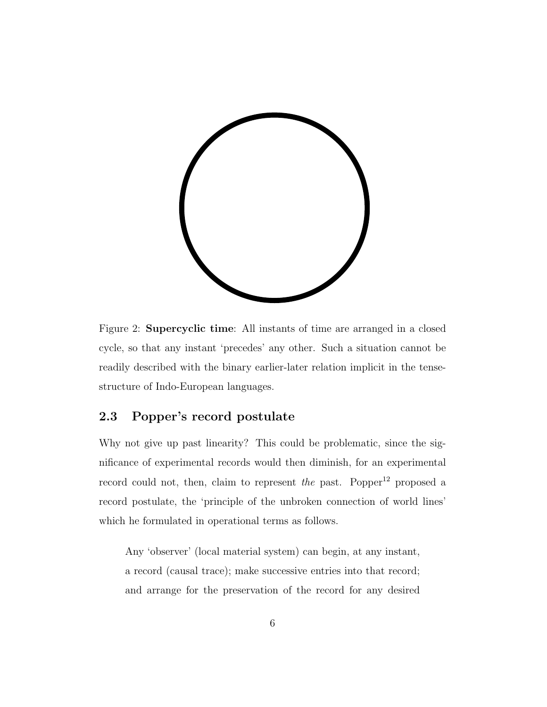

Figure 2: Supercyclic time: All instants of time are arranged in a closed cycle, so that any instant 'precedes' any other. Such a situation cannot be readily described with the binary earlier-later relation implicit in the tensestructure of Indo-European languages.

### 2.3 Popper's record postulate

Why not give up past linearity? This could be problematic, since the significance of experimental records would then diminish, for an experimental record could not, then, claim to represent the past. Popper<sup>12</sup> proposed a record postulate, the 'principle of the unbroken connection of world lines' which he formulated in operational terms as follows.

Any 'observer' (local material system) can begin, at any instant, a record (causal trace); make successive entries into that record; and arrange for the preservation of the record for any desired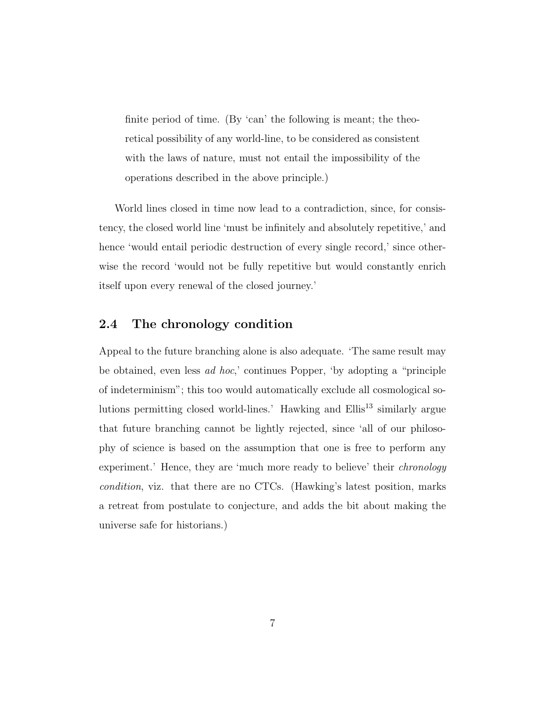finite period of time. (By 'can' the following is meant; the theoretical possibility of any world-line, to be considered as consistent with the laws of nature, must not entail the impossibility of the operations described in the above principle.)

World lines closed in time now lead to a contradiction, since, for consistency, the closed world line 'must be infinitely and absolutely repetitive,' and hence 'would entail periodic destruction of every single record,' since otherwise the record 'would not be fully repetitive but would constantly enrich itself upon every renewal of the closed journey.'

#### 2.4 The chronology condition

Appeal to the future branching alone is also adequate. 'The same result may be obtained, even less ad hoc,' continues Popper, 'by adopting a "principle of indeterminism"; this too would automatically exclude all cosmological solutions permitting closed world-lines.' Hawking and  $Ellis<sup>13</sup>$  similarly argue that future branching cannot be lightly rejected, since 'all of our philosophy of science is based on the assumption that one is free to perform any experiment.' Hence, they are 'much more ready to believe' their *chronology* condition, viz. that there are no CTCs. (Hawking's latest position, marks a retreat from postulate to conjecture, and adds the bit about making the universe safe for historians.)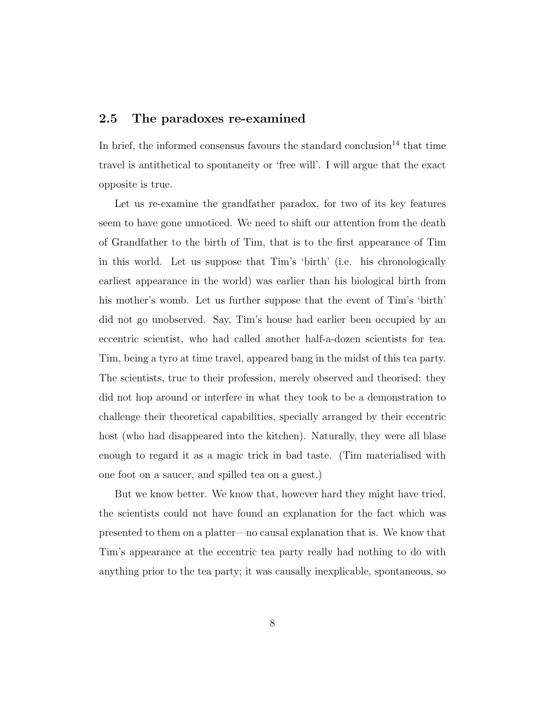### 2.5 The paradoxes re-examined

In brief, the informed consensus favours the standard conclusion<sup>14</sup> that time travel is antithetical to spontaneity or 'free will'. I will argue that the exact opposite is true.

Let us re-examine the grandfather paradox, for two of its key features seem to have gone unnoticed. We need to shift our attention from the death of Grandfather to the birth of Tim, that is to the first appearance of Tim in this world. Let us suppose that Tim's 'birth' (i.e. his chronologically earliest appearance in the world) was earlier than his biological birth from his mother's womb. Let us further suppose that the event of Tim's 'birth' did not go unobserved. Say, Tim's house had earlier been occupied by an eccentric scientist, who had called another half-a-dozen scientists for tea. Tim, being a tyro at time travel, appeared bang in the midst of this tea party. The scientists, true to their profession, merely observed and theorised: they did not hop around or interfere in what they took to be a demonstration to challenge their theoretical capabilities, specially arranged by their eccentric host (who had disappeared into the kitchen). Naturally, they were all blase enough to regard it as a magic trick in bad taste. (Tim materialised with one foot on a saucer, and spilled tea on a guest.)

But we know better. We know that, however hard they might have tried, the scientists could not have found an explanation for the fact which was presented to them on a platter—no causal explanation that is. We know that Tim's appearance at the eccentric tea party really had nothing to do with anything prior to the tea party; it was causally inexplicable, spontaneous, so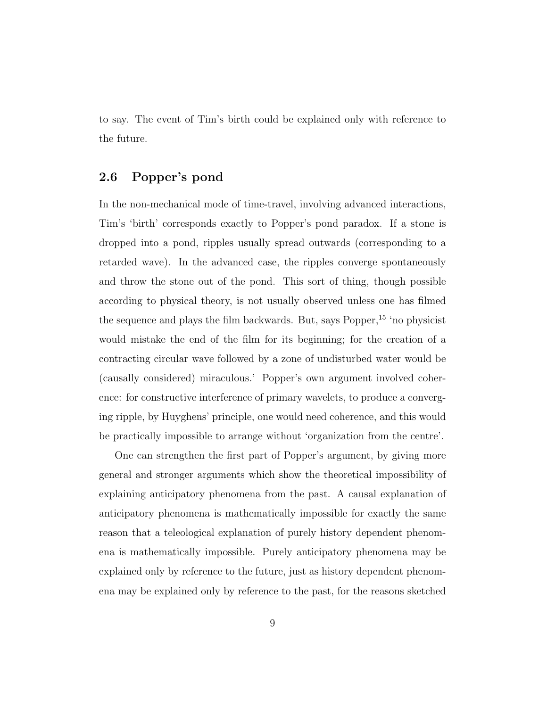to say. The event of Tim's birth could be explained only with reference to the future.

### 2.6 Popper's pond

In the non-mechanical mode of time-travel, involving advanced interactions, Tim's 'birth' corresponds exactly to Popper's pond paradox. If a stone is dropped into a pond, ripples usually spread outwards (corresponding to a retarded wave). In the advanced case, the ripples converge spontaneously and throw the stone out of the pond. This sort of thing, though possible according to physical theory, is not usually observed unless one has filmed the sequence and plays the film backwards. But, says Popper,<sup>15</sup> 'no physicist would mistake the end of the film for its beginning; for the creation of a contracting circular wave followed by a zone of undisturbed water would be (causally considered) miraculous.' Popper's own argument involved coherence: for constructive interference of primary wavelets, to produce a converging ripple, by Huyghens' principle, one would need coherence, and this would be practically impossible to arrange without 'organization from the centre'.

One can strengthen the first part of Popper's argument, by giving more general and stronger arguments which show the theoretical impossibility of explaining anticipatory phenomena from the past. A causal explanation of anticipatory phenomena is mathematically impossible for exactly the same reason that a teleological explanation of purely history dependent phenomena is mathematically impossible. Purely anticipatory phenomena may be explained only by reference to the future, just as history dependent phenomena may be explained only by reference to the past, for the reasons sketched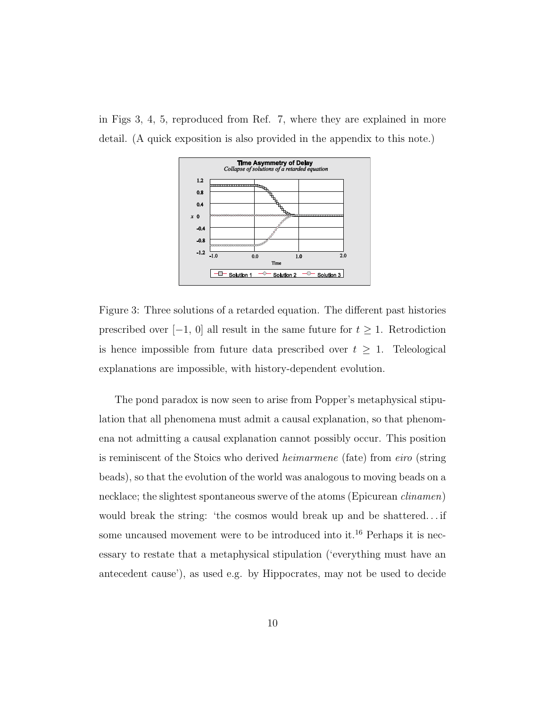in Figs 3, 4, 5, reproduced from Ref. 7, where they are explained in more detail. (A quick exposition is also provided in the appendix to this note.)



Figure 3: Three solutions of a retarded equation. The different past histories prescribed over  $[-1, 0]$  all result in the same future for  $t \geq 1$ . Retrodiction is hence impossible from future data prescribed over  $t \geq 1$ . Teleological explanations are impossible, with history-dependent evolution.

The pond paradox is now seen to arise from Popper's metaphysical stipulation that all phenomena must admit a causal explanation, so that phenomena not admitting a causal explanation cannot possibly occur. This position is reminiscent of the Stoics who derived heimarmene (fate) from eiro (string beads), so that the evolution of the world was analogous to moving beads on a necklace; the slightest spontaneous swerve of the atoms (Epicurean clinamen) would break the string: 'the cosmos would break up and be shattered... if some uncaused movement were to be introduced into it.<sup>16</sup> Perhaps it is necessary to restate that a metaphysical stipulation ('everything must have an antecedent cause'), as used e.g. by Hippocrates, may not be used to decide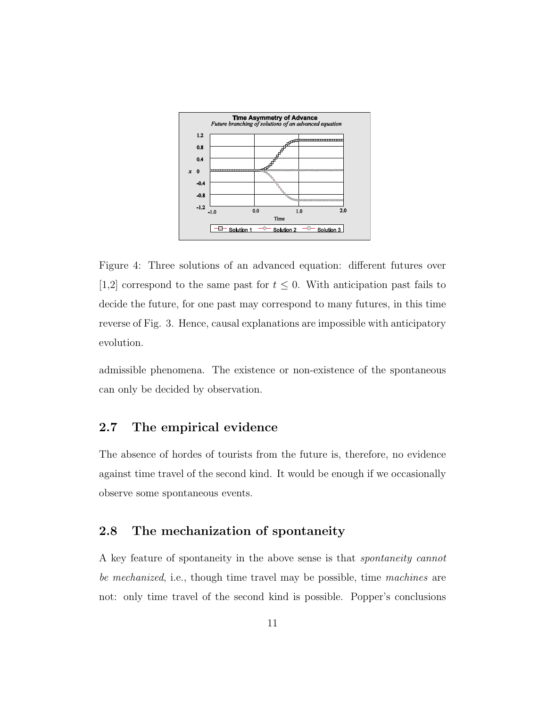

Figure 4: Three solutions of an advanced equation: different futures over [1,2] correspond to the same past for  $t \leq 0$ . With anticipation past fails to decide the future, for one past may correspond to many futures, in this time reverse of Fig. 3. Hence, causal explanations are impossible with anticipatory evolution.

admissible phenomena. The existence or non-existence of the spontaneous can only be decided by observation.

### 2.7 The empirical evidence

The absence of hordes of tourists from the future is, therefore, no evidence against time travel of the second kind. It would be enough if we occasionally observe some spontaneous events.

#### 2.8 The mechanization of spontaneity

A key feature of spontaneity in the above sense is that spontaneity cannot be mechanized, i.e., though time travel may be possible, time machines are not: only time travel of the second kind is possible. Popper's conclusions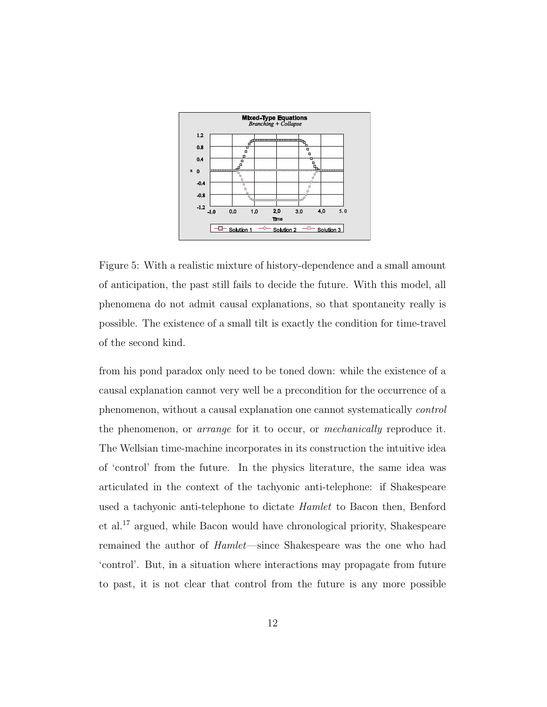

Figure 5: With a realistic mixture of history-dependence and a small amount of anticipation, the past still fails to decide the future. With this model, all phenomena do not admit causal explanations, so that spontaneity really is possible. The existence of a small tilt is exactly the condition for time-travel of the second kind.

from his pond paradox only need to be toned down: while the existence of a causal explanation cannot very well be a precondition for the occurrence of a phenomenon, without a causal explanation one cannot systematically control the phenomenon, or arrange for it to occur, or mechanically reproduce it. The Wellsian time-machine incorporates in its construction the intuitive idea of 'control' from the future. In the physics literature, the same idea was articulated in the context of the tachyonic anti-telephone: if Shakespeare used a tachyonic anti-telephone to dictate Hamlet to Bacon then, Benford et al.<sup>17</sup> argued, while Bacon would have chronological priority, Shakespeare remained the author of Hamlet—since Shakespeare was the one who had 'control'. But, in a situation where interactions may propagate from future to past, it is not clear that control from the future is any more possible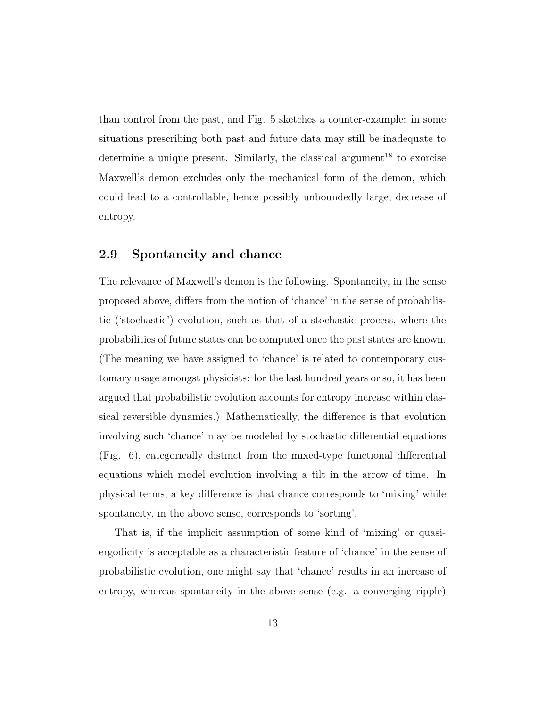than control from the past, and Fig. 5 sketches a counter-example: in some situations prescribing both past and future data may still be inadequate to determine a unique present. Similarly, the classical argument<sup>18</sup> to exorcise Maxwell's demon excludes only the mechanical form of the demon, which could lead to a controllable, hence possibly unboundedly large, decrease of entropy.

#### 2.9 Spontaneity and chance

The relevance of Maxwell's demon is the following. Spontaneity, in the sense proposed above, differs from the notion of 'chance' in the sense of probabilistic ('stochastic') evolution, such as that of a stochastic process, where the probabilities of future states can be computed once the past states are known. (The meaning we have assigned to 'chance' is related to contemporary customary usage amongst physicists: for the last hundred years or so, it has been argued that probabilistic evolution accounts for entropy increase within classical reversible dynamics.) Mathematically, the difference is that evolution involving such 'chance' may be modeled by stochastic differential equations (Fig. 6), categorically distinct from the mixed-type functional differential equations which model evolution involving a tilt in the arrow of time. In physical terms, a key difference is that chance corresponds to 'mixing' while spontaneity, in the above sense, corresponds to 'sorting'.

That is, if the implicit assumption of some kind of 'mixing' or quasiergodicity is acceptable as a characteristic feature of 'chance' in the sense of probabilistic evolution, one might say that 'chance' results in an increase of entropy, whereas spontaneity in the above sense (e.g. a converging ripple)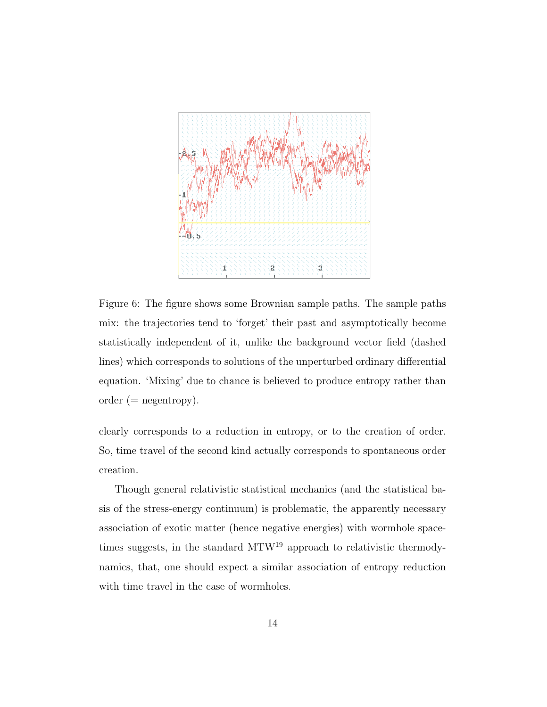

Figure 6: The figure shows some Brownian sample paths. The sample paths mix: the trajectories tend to 'forget' their past and asymptotically become statistically independent of it, unlike the background vector field (dashed lines) which corresponds to solutions of the unperturbed ordinary differential equation. 'Mixing' due to chance is believed to produce entropy rather than order  $(=$  negentropy).

clearly corresponds to a reduction in entropy, or to the creation of order. So, time travel of the second kind actually corresponds to spontaneous order creation.

Though general relativistic statistical mechanics (and the statistical basis of the stress-energy continuum) is problematic, the apparently necessary association of exotic matter (hence negative energies) with wormhole spacetimes suggests, in the standard MTW<sup>19</sup> approach to relativistic thermodynamics, that, one should expect a similar association of entropy reduction with time travel in the case of wormholes.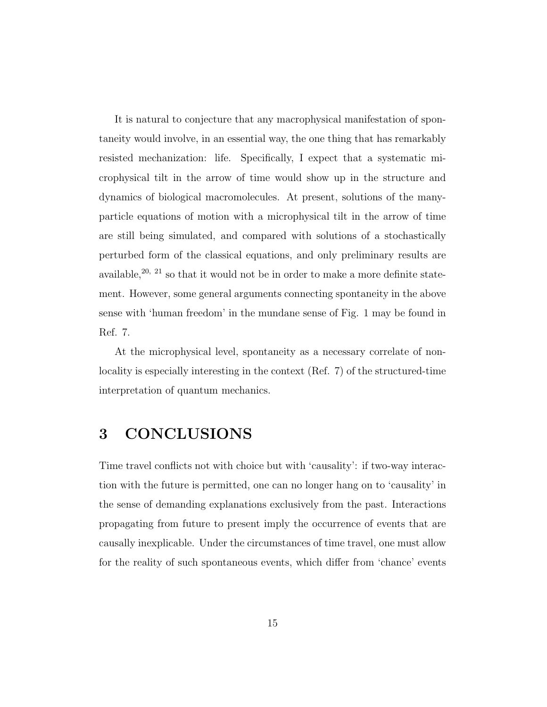It is natural to conjecture that any macrophysical manifestation of spontaneity would involve, in an essential way, the one thing that has remarkably resisted mechanization: life. Specifically, I expect that a systematic microphysical tilt in the arrow of time would show up in the structure and dynamics of biological macromolecules. At present, solutions of the manyparticle equations of motion with a microphysical tilt in the arrow of time are still being simulated, and compared with solutions of a stochastically perturbed form of the classical equations, and only preliminary results are available,<sup>20, 21</sup> so that it would not be in order to make a more definite statement. However, some general arguments connecting spontaneity in the above sense with 'human freedom' in the mundane sense of Fig. 1 may be found in Ref. 7.

At the microphysical level, spontaneity as a necessary correlate of nonlocality is especially interesting in the context (Ref. 7) of the structured-time interpretation of quantum mechanics.

## 3 CONCLUSIONS

Time travel conflicts not with choice but with 'causality': if two-way interaction with the future is permitted, one can no longer hang on to 'causality' in the sense of demanding explanations exclusively from the past. Interactions propagating from future to present imply the occurrence of events that are causally inexplicable. Under the circumstances of time travel, one must allow for the reality of such spontaneous events, which differ from 'chance' events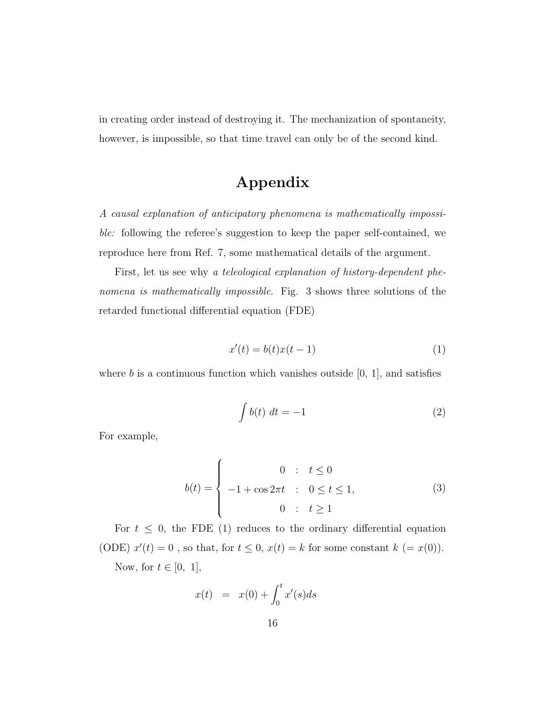in creating order instead of destroying it. The mechanization of spontaneity, however, is impossible, so that time travel can only be of the second kind.

## Appendix

A causal explanation of anticipatory phenomena is mathematically impossible: following the referee's suggestion to keep the paper self-contained, we reproduce here from Ref. 7, some mathematical details of the argument.

First, let us see why a teleological explanation of history-dependent phenomena is mathematically impossible. Fig. 3 shows three solutions of the retarded functional differential equation (FDE)

$$
x'(t) = b(t)x(t-1)
$$
\n(1)

where  $b$  is a continuous function which vanishes outside  $[0, 1]$ , and satisfies

$$
\int b(t) \, dt = -1 \tag{2}
$$

For example,

$$
b(t) = \begin{cases} 0 & \text{: } t \le 0 \\ -1 + \cos 2\pi t & \text{: } 0 \le t \le 1, \\ 0 & \text{: } t \ge 1 \end{cases}
$$
 (3)

For  $t \leq 0$ , the FDE (1) reduces to the ordinary differential equation (ODE)  $x'(t) = 0$ , so that, for  $t \leq 0$ ,  $x(t) = k$  for some constant  $k (= x(0))$ . Now, for  $t \in [0, 1]$ ,

$$
x(t) = x(0) + \int_0^t x'(s)ds
$$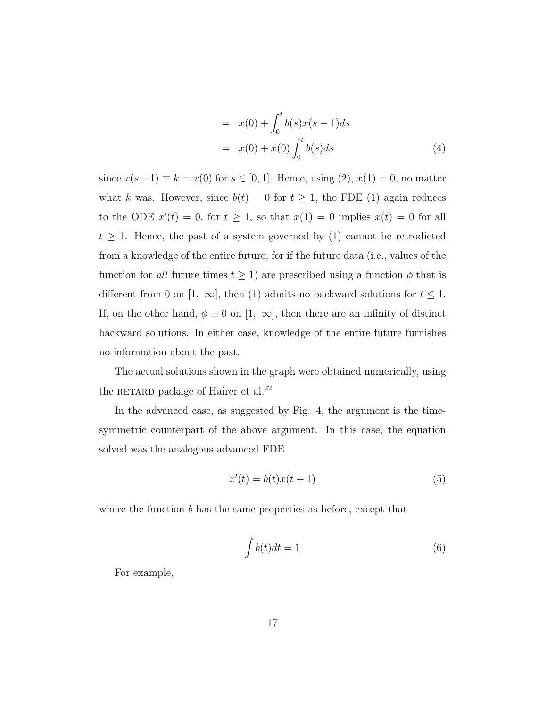$$
= x(0) + \int_0^t b(s)x(s-1)ds
$$
  

$$
= x(0) + x(0) \int_0^t b(s)ds
$$
 (4)

since  $x(s-1) \equiv k = x(0)$  for  $s \in [0, 1]$ . Hence, using  $(2), x(1) = 0$ , no matter what k was. However, since  $b(t) = 0$  for  $t \ge 1$ , the FDE (1) again reduces to the ODE  $x'(t) = 0$ , for  $t \ge 1$ , so that  $x(1) = 0$  implies  $x(t) = 0$  for all  $t \geq 1$ . Hence, the past of a system governed by (1) cannot be retrodicted from a knowledge of the entire future; for if the future data (i.e., values of the function for all future times  $t \ge 1$ ) are prescribed using a function  $\phi$  that is different from 0 on [1,  $\infty$ ], then (1) admits no backward solutions for  $t \leq 1$ . If, on the other hand,  $\phi \equiv 0$  on [1,  $\infty$ ], then there are an infinity of distinct backward solutions. In either case, knowledge of the entire future furnishes no information about the past.

The actual solutions shown in the graph were obtained numerically, using the RETARD package of Hairer et al. $^{22}$ 

In the advanced case, as suggested by Fig. 4, the argument is the timesymmetric counterpart of the above argument. In this case, the equation solved was the analogous advanced FDE

$$
x'(t) = b(t)x(t+1)
$$
\n<sup>(5)</sup>

where the function  $b$  has the same properties as before, except that

$$
\int b(t)dt = 1\tag{6}
$$

For example,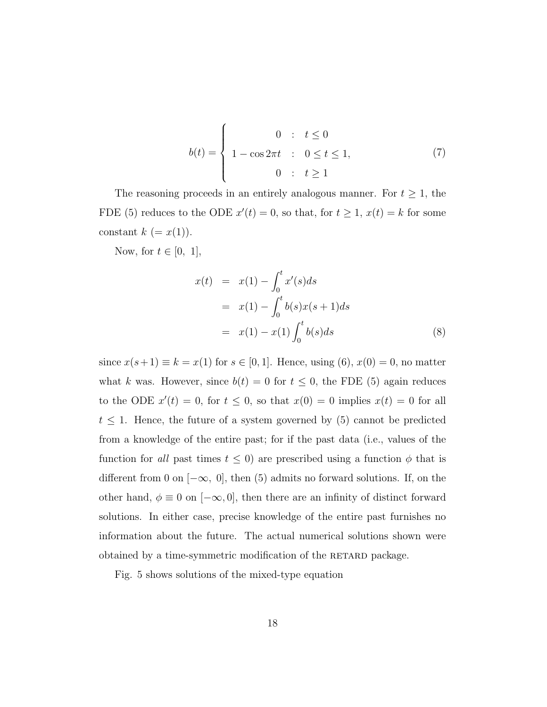$$
b(t) = \begin{cases} 0 & \text{: } t \le 0 \\ 1 - \cos 2\pi t & \text{: } 0 \le t \le 1, \\ 0 & \text{: } t \ge 1 \end{cases}
$$
 (7)

The reasoning proceeds in an entirely analogous manner. For  $t \geq 1$ , the FDE (5) reduces to the ODE  $x'(t) = 0$ , so that, for  $t \ge 1$ ,  $x(t) = k$  for some constant  $k (= x(1)).$ 

Now, for  $t \in [0, 1]$ ,

$$
x(t) = x(1) - \int_0^t x'(s)ds
$$
  
=  $x(1) - \int_0^t b(s)x(s+1)ds$   
=  $x(1) - x(1) \int_0^t b(s)ds$  (8)

since  $x(s+1) \equiv k = x(1)$  for  $s \in [0, 1]$ . Hence, using  $(6)$ ,  $x(0) = 0$ , no matter what k was. However, since  $b(t) = 0$  for  $t \leq 0$ , the FDE (5) again reduces to the ODE  $x'(t) = 0$ , for  $t \leq 0$ , so that  $x(0) = 0$  implies  $x(t) = 0$  for all  $t \leq 1$ . Hence, the future of a system governed by (5) cannot be predicted from a knowledge of the entire past; for if the past data (i.e., values of the function for all past times  $t \leq 0$ ) are prescribed using a function  $\phi$  that is different from 0 on  $[-\infty, 0]$ , then (5) admits no forward solutions. If, on the other hand,  $\phi \equiv 0$  on  $[-\infty, 0]$ , then there are an infinity of distinct forward solutions. In either case, precise knowledge of the entire past furnishes no information about the future. The actual numerical solutions shown were obtained by a time-symmetric modification of the RETARD package.

Fig. 5 shows solutions of the mixed-type equation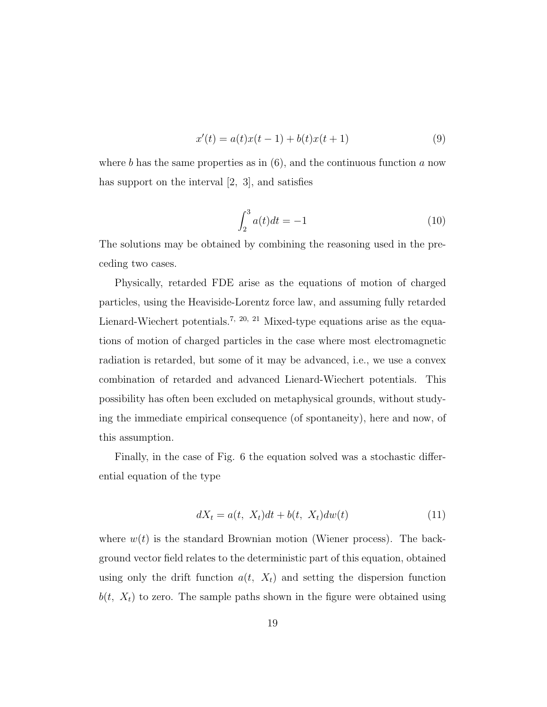$$
x'(t) = a(t)x(t-1) + b(t)x(t+1)
$$
\n(9)

where b has the same properties as in  $(6)$ , and the continuous function a now has support on the interval [2, 3], and satisfies

$$
\int_{2}^{3} a(t)dt = -1
$$
 (10)

The solutions may be obtained by combining the reasoning used in the preceding two cases.

Physically, retarded FDE arise as the equations of motion of charged particles, using the Heaviside-Lorentz force law, and assuming fully retarded Lienard-Wiechert potentials.<sup>7, 20, 21</sup> Mixed-type equations arise as the equations of motion of charged particles in the case where most electromagnetic radiation is retarded, but some of it may be advanced, i.e., we use a convex combination of retarded and advanced Lienard-Wiechert potentials. This possibility has often been excluded on metaphysical grounds, without studying the immediate empirical consequence (of spontaneity), here and now, of this assumption.

Finally, in the case of Fig. 6 the equation solved was a stochastic differential equation of the type

$$
dX_t = a(t, X_t)dt + b(t, X_t)dw(t)
$$
\n
$$
(11)
$$

where  $w(t)$  is the standard Brownian motion (Wiener process). The background vector field relates to the deterministic part of this equation, obtained using only the drift function  $a(t, X_t)$  and setting the dispersion function  $b(t, X_t)$  to zero. The sample paths shown in the figure were obtained using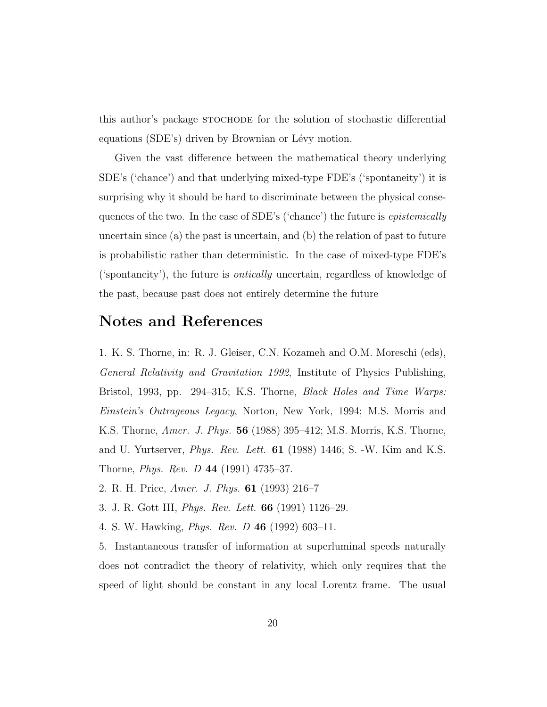this author's package stochode for the solution of stochastic differential equations (SDE's) driven by Brownian or Lévy motion.

Given the vast difference between the mathematical theory underlying SDE's ('chance') and that underlying mixed-type FDE's ('spontaneity') it is surprising why it should be hard to discriminate between the physical consequences of the two. In the case of SDE's ('chance') the future is epistemically uncertain since (a) the past is uncertain, and (b) the relation of past to future is probabilistic rather than deterministic. In the case of mixed-type FDE's ('spontaneity'), the future is ontically uncertain, regardless of knowledge of the past, because past does not entirely determine the future

## Notes and References

1. K. S. Thorne, in: R. J. Gleiser, C.N. Kozameh and O.M. Moreschi (eds), General Relativity and Gravitation 1992, Institute of Physics Publishing, Bristol, 1993, pp. 294–315; K.S. Thorne, Black Holes and Time Warps: Einstein's Outrageous Legacy, Norton, New York, 1994; M.S. Morris and K.S. Thorne, Amer. J. Phys. 56 (1988) 395–412; M.S. Morris, K.S. Thorne, and U. Yurtserver, *Phys. Rev. Lett.*  $61$  (1988) 1446; S. -W. Kim and K.S. Thorne, Phys. Rev. D 44 (1991) 4735–37.

- 2. R. H. Price, Amer. J. Phys. 61 (1993) 216–7
- 3. J. R. Gott III, Phys. Rev. Lett. 66 (1991) 1126–29.
- 4. S. W. Hawking, Phys. Rev. D 46 (1992) 603–11.

5. Instantaneous transfer of information at superluminal speeds naturally does not contradict the theory of relativity, which only requires that the speed of light should be constant in any local Lorentz frame. The usual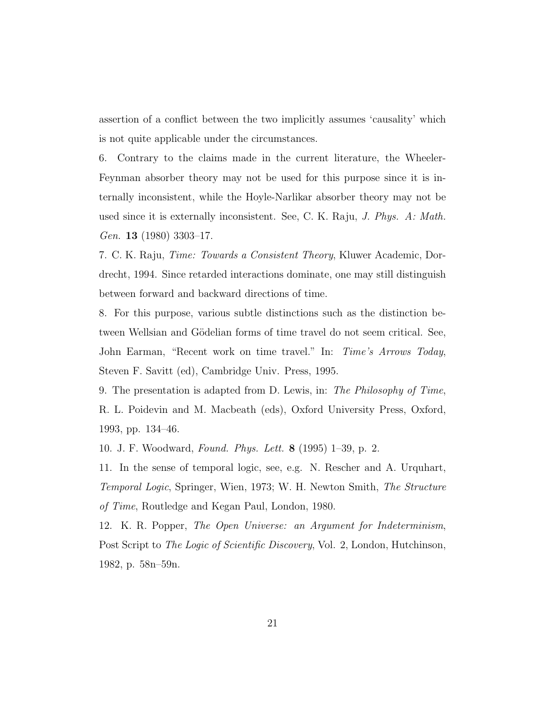assertion of a conflict between the two implicitly assumes 'causality' which is not quite applicable under the circumstances.

6. Contrary to the claims made in the current literature, the Wheeler-Feynman absorber theory may not be used for this purpose since it is internally inconsistent, while the Hoyle-Narlikar absorber theory may not be used since it is externally inconsistent. See, C. K. Raju, *J. Phys. A: Math.* Gen. 13 (1980) 3303-17.

7. C. K. Raju, Time: Towards a Consistent Theory, Kluwer Academic, Dordrecht, 1994. Since retarded interactions dominate, one may still distinguish between forward and backward directions of time.

8. For this purpose, various subtle distinctions such as the distinction between Wellsian and Gödelian forms of time travel do not seem critical. See, John Earman, "Recent work on time travel." In: Time's Arrows Today, Steven F. Savitt (ed), Cambridge Univ. Press, 1995.

9. The presentation is adapted from D. Lewis, in: The Philosophy of Time, R. L. Poidevin and M. Macbeath (eds), Oxford University Press, Oxford, 1993, pp. 134–46.

10. J. F. Woodward, Found. Phys. Lett. 8 (1995) 1–39, p. 2.

11. In the sense of temporal logic, see, e.g. N. Rescher and A. Urquhart, Temporal Logic, Springer, Wien, 1973; W. H. Newton Smith, The Structure of Time, Routledge and Kegan Paul, London, 1980.

12. K. R. Popper, The Open Universe: an Argument for Indeterminism, Post Script to The Logic of Scientific Discovery, Vol. 2, London, Hutchinson, 1982, p. 58n–59n.